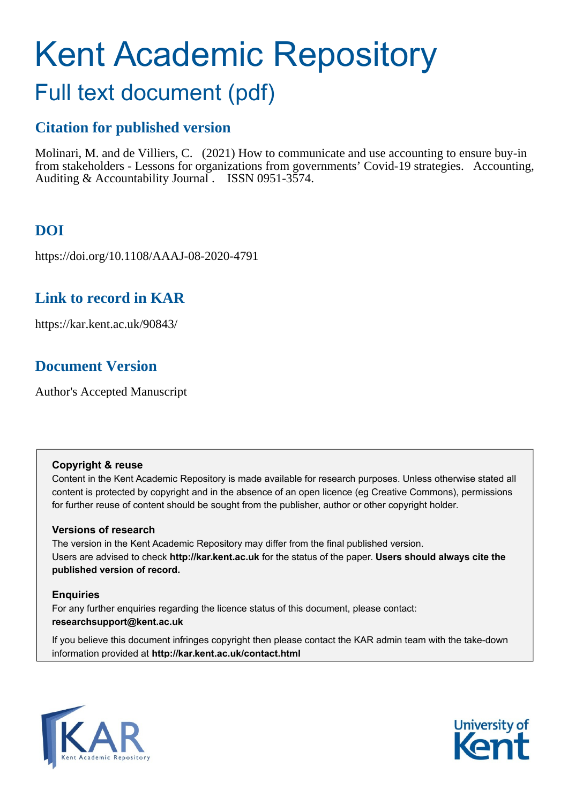# Kent Academic Repository

## Full text document (pdf)

## **Citation for published version**

Molinari, M. and de Villiers, C. (2021) How to communicate and use accounting to ensure buy-in from stakeholders - Lessons for organizations from governments' Covid-19 strategies. Accounting, Auditing & Accountability Journal . ISSN 0951-3574.

## **DOI**

https://doi.org/10.1108/AAAJ-08-2020-4791

## **Link to record in KAR**

https://kar.kent.ac.uk/90843/

## **Document Version**

Author's Accepted Manuscript

#### **Copyright & reuse**

Content in the Kent Academic Repository is made available for research purposes. Unless otherwise stated all content is protected by copyright and in the absence of an open licence (eg Creative Commons), permissions for further reuse of content should be sought from the publisher, author or other copyright holder.

#### **Versions of research**

The version in the Kent Academic Repository may differ from the final published version. Users are advised to check **http://kar.kent.ac.uk** for the status of the paper. **Users should always cite the published version of record.**

#### **Enquiries**

For any further enquiries regarding the licence status of this document, please contact: **researchsupport@kent.ac.uk**

If you believe this document infringes copyright then please contact the KAR admin team with the take-down information provided at **http://kar.kent.ac.uk/contact.html**



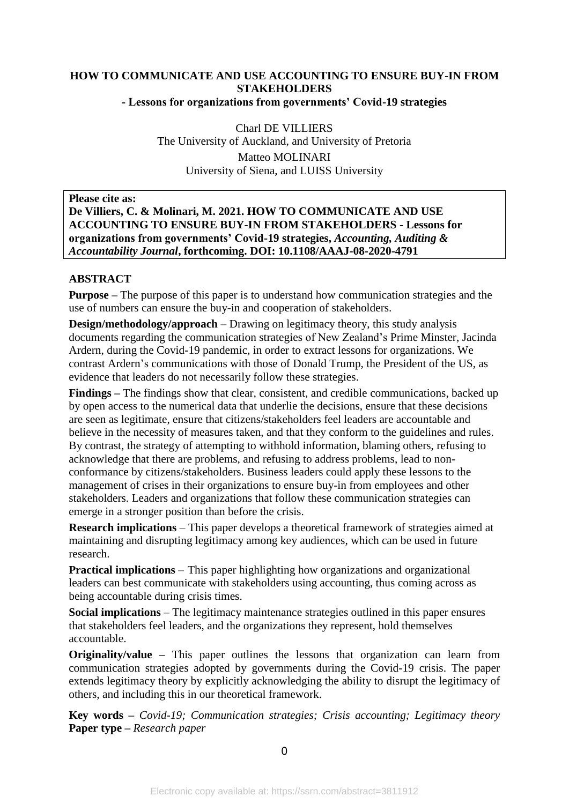#### **HOW TO COMMUNICATE AND USE ACCOUNTING TO ENSURE BUY-IN FROM STAKEHOLDERS**

**- Lessons for organizations from governments' Covid-19 strategies**

Charl DE VILLIERS The University of Auckland, and University of Pretoria Matteo MOLINARI University of Siena, and LUISS University

**Please cite as:**

#### **De Villiers, C. & Molinari, M. 2021. HOW TO COMMUNICATE AND USE ACCOUNTING TO ENSURE BUY-IN FROM STAKEHOLDERS - Lessons for organizations from governments' Covid-19 strategies,** *Accounting, Auditing & Accountability Journal***, forthcoming. DOI: 10.1108/AAAJ-08-2020-4791**

#### **ABSTRACT**

**Purpose –** The purpose of this paper is to understand how communication strategies and the use of numbers can ensure the buy-in and cooperation of stakeholders.

**Design/methodology/approach** – Drawing on legitimacy theory, this study analysis documents regarding the communication strategies of New Zealand's Prime Minster, Jacinda Ardern, during the Covid-19 pandemic, in order to extract lessons for organizations. We contrast Ardern's communications with those of Donald Trump, the President of the US, as evidence that leaders do not necessarily follow these strategies.

**Findings –** The findings show that clear, consistent, and credible communications, backed up by open access to the numerical data that underlie the decisions, ensure that these decisions are seen as legitimate, ensure that citizens/stakeholders feel leaders are accountable and believe in the necessity of measures taken, and that they conform to the guidelines and rules. By contrast, the strategy of attempting to withhold information, blaming others, refusing to acknowledge that there are problems, and refusing to address problems, lead to nonconformance by citizens/stakeholders. Business leaders could apply these lessons to the management of crises in their organizations to ensure buy-in from employees and other stakeholders. Leaders and organizations that follow these communication strategies can emerge in a stronger position than before the crisis.

**Research implications** – This paper develops a theoretical framework of strategies aimed at maintaining and disrupting legitimacy among key audiences, which can be used in future research.

**Practical implications** – This paper highlighting how organizations and organizational leaders can best communicate with stakeholders using accounting, thus coming across as being accountable during crisis times.

**Social implications** – The legitimacy maintenance strategies outlined in this paper ensures that stakeholders feel leaders, and the organizations they represent, hold themselves accountable.

**Originality/value –** This paper outlines the lessons that organization can learn from communication strategies adopted by governments during the Covid-19 crisis. The paper extends legitimacy theory by explicitly acknowledging the ability to disrupt the legitimacy of others, and including this in our theoretical framework.

**Key words –** *Covid-19; Communication strategies; Crisis accounting; Legitimacy theory* **Paper type –** *Research paper*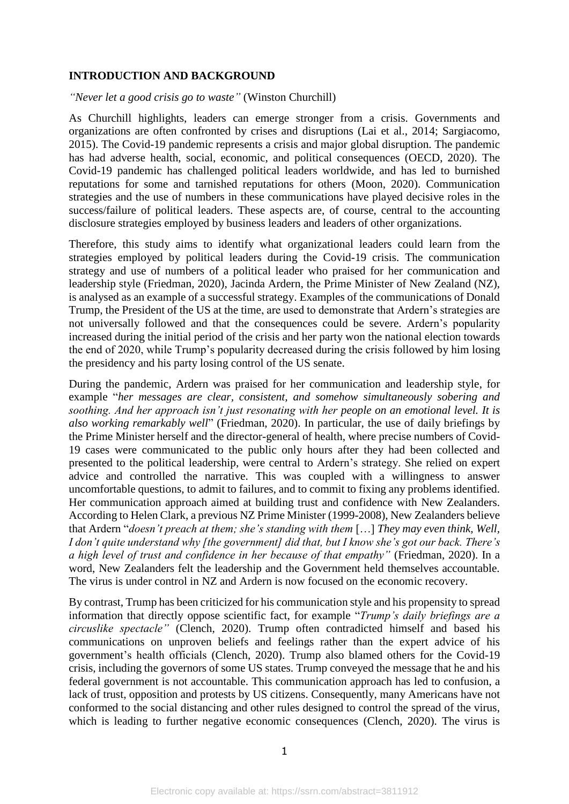#### **INTRODUCTION AND BACKGROUND**

*"Never let a good crisis go to waste"* (Winston Churchill)

As Churchill highlights, leaders can emerge stronger from a crisis. Governments and organizations are often confronted by crises and disruptions (Lai et al., 2014; Sargiacomo, 2015). The Covid-19 pandemic represents a crisis and major global disruption. The pandemic has had adverse health, social, economic, and political consequences (OECD, 2020). The Covid-19 pandemic has challenged political leaders worldwide, and has led to burnished reputations for some and tarnished reputations for others (Moon, 2020). Communication strategies and the use of numbers in these communications have played decisive roles in the success/failure of political leaders. These aspects are, of course, central to the accounting disclosure strategies employed by business leaders and leaders of other organizations.

Therefore, this study aims to identify what organizational leaders could learn from the strategies employed by political leaders during the Covid-19 crisis. The communication strategy and use of numbers of a political leader who praised for her communication and leadership style (Friedman, 2020), Jacinda Ardern, the Prime Minister of New Zealand (NZ), is analysed as an example of a successful strategy. Examples of the communications of Donald Trump, the President of the US at the time, are used to demonstrate that Ardern's strategies are not universally followed and that the consequences could be severe. Ardern's popularity increased during the initial period of the crisis and her party won the national election towards the end of 2020, while Trump's popularity decreased during the crisis followed by him losing the presidency and his party losing control of the US senate.

During the pandemic, Ardern was praised for her communication and leadership style, for example "*her messages are clear, consistent, and somehow simultaneously sobering and soothing. And her approach isn't just resonating with her people on an emotional level. It is also working remarkably well*" (Friedman, 2020). In particular, the use of daily briefings by the Prime Minister herself and the director-general of health, where precise numbers of Covid-19 cases were communicated to the public only hours after they had been collected and presented to the political leadership, were central to Ardern's strategy. She relied on expert advice and controlled the narrative. This was coupled with a willingness to answer uncomfortable questions, to admit to failures, and to commit to fixing any problems identified. Her communication approach aimed at building trust and confidence with New Zealanders. According to Helen Clark, a previous NZ Prime Minister (1999-2008), New Zealanders believe that Ardern "*doesn't preach at them; she's standing with them* […] *They may even think, Well, I don't quite understand why [the government] did that, but I know she's got our back. There's a high level of trust and confidence in her because of that empathy"* (Friedman, 2020). In a word, New Zealanders felt the leadership and the Government held themselves accountable. The virus is under control in NZ and Ardern is now focused on the economic recovery.

By contrast, Trump has been criticized for his communication style and his propensity to spread information that directly oppose scientific fact, for example "*Trump's daily briefings are a circuslike spectacle"* (Clench, 2020). Trump often contradicted himself and based his communications on unproven beliefs and feelings rather than the expert advice of his government's health officials (Clench, 2020). Trump also blamed others for the Covid-19 crisis, including the governors of some US states. Trump conveyed the message that he and his federal government is not accountable. This communication approach has led to confusion, a lack of trust, opposition and protests by US citizens. Consequently, many Americans have not conformed to the social distancing and other rules designed to control the spread of the virus, which is leading to further negative economic consequences (Clench, 2020). The virus is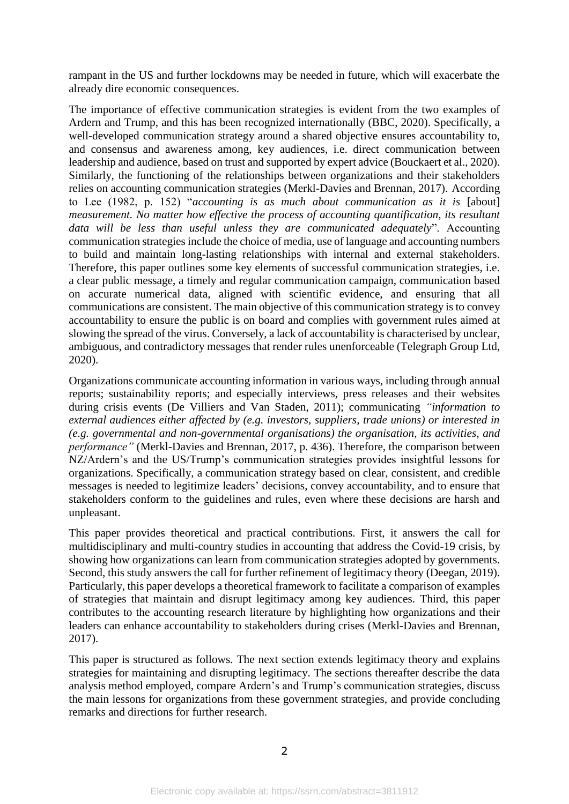rampant in the US and further lockdowns may be needed in future, which will exacerbate the already dire economic consequences.

The importance of effective communication strategies is evident from the two examples of Ardern and Trump, and this has been recognized internationally (BBC, 2020). Specifically, a well-developed communication strategy around a shared objective ensures accountability to, and consensus and awareness among, key audiences, i.e. direct communication between leadership and audience, based on trust and supported by expert advice (Bouckaert et al., 2020). Similarly, the functioning of the relationships between organizations and their stakeholders relies on accounting communication strategies (Merkl-Davies and Brennan, 2017). According to Lee (1982, p. 152) "*accounting is as much about communication as it is* [about] *measurement. No matter how effective the process of accounting quantification, its resultant data will be less than useful unless they are communicated adequately*". Accounting communication strategies include the choice of media, use of language and accounting numbers to build and maintain long-lasting relationships with internal and external stakeholders. Therefore, this paper outlines some key elements of successful communication strategies, i.e. a clear public message, a timely and regular communication campaign, communication based on accurate numerical data, aligned with scientific evidence, and ensuring that all communications are consistent. The main objective of this communication strategy is to convey accountability to ensure the public is on board and complies with government rules aimed at slowing the spread of the virus. Conversely, a lack of accountability is characterised by unclear, ambiguous, and contradictory messages that render rules unenforceable (Telegraph Group Ltd, 2020).

Organizations communicate accounting information in various ways, including through annual reports; sustainability reports; and especially interviews, press releases and their websites during crisis events (De Villiers and Van Staden, 2011); communicating *"information to external audiences either affected by (e.g. investors, suppliers, trade unions) or interested in (e.g. governmental and non-governmental organisations) the organisation, its activities, and performance"* (Merkl-Davies and Brennan, 2017, p. 436). Therefore, the comparison between NZ/Ardern's and the US/Trump's communication strategies provides insightful lessons for organizations. Specifically, a communication strategy based on clear, consistent, and credible messages is needed to legitimize leaders' decisions, convey accountability, and to ensure that stakeholders conform to the guidelines and rules, even where these decisions are harsh and unpleasant.

This paper provides theoretical and practical contributions. First, it answers the call for multidisciplinary and multi-country studies in accounting that address the Covid-19 crisis, by showing how organizations can learn from communication strategies adopted by governments. Second, this study answers the call for further refinement of legitimacy theory (Deegan, 2019). Particularly, this paper develops a theoretical framework to facilitate a comparison of examples of strategies that maintain and disrupt legitimacy among key audiences. Third, this paper contributes to the accounting research literature by highlighting how organizations and their leaders can enhance accountability to stakeholders during crises (Merkl-Davies and Brennan, 2017).

This paper is structured as follows. The next section extends legitimacy theory and explains strategies for maintaining and disrupting legitimacy. The sections thereafter describe the data analysis method employed, compare Ardern's and Trump's communication strategies, discuss the main lessons for organizations from these government strategies, and provide concluding remarks and directions for further research.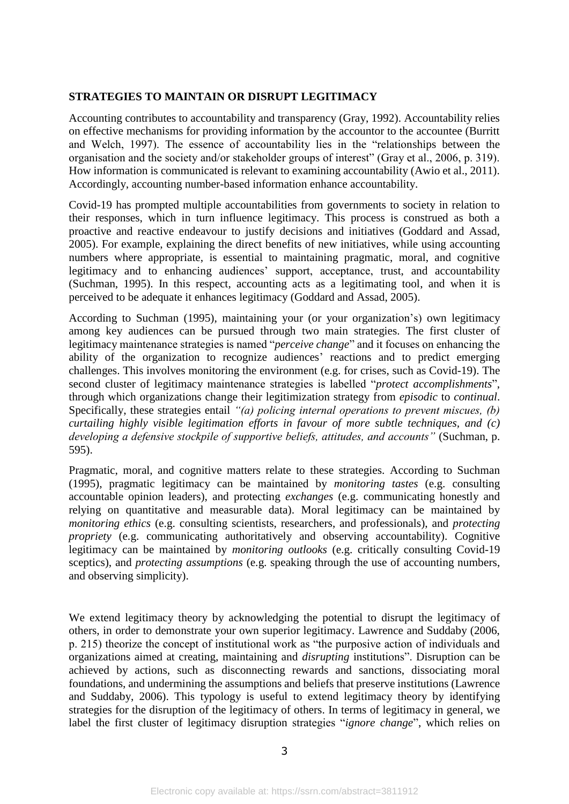#### **STRATEGIES TO MAINTAIN OR DISRUPT LEGITIMACY**

Accounting contributes to accountability and transparency (Gray, 1992). Accountability relies on effective mechanisms for providing information by the accountor to the accountee (Burritt and Welch, 1997). The essence of accountability lies in the "relationships between the organisation and the society and/or stakeholder groups of interest" (Gray et al., 2006, p. 319). How information is communicated is relevant to examining accountability (Awio et al., 2011). Accordingly, accounting number-based information enhance accountability.

Covid-19 has prompted multiple accountabilities from governments to society in relation to their responses, which in turn influence legitimacy. This process is construed as both a proactive and reactive endeavour to justify decisions and initiatives (Goddard and Assad, 2005). For example, explaining the direct benefits of new initiatives, while using accounting numbers where appropriate, is essential to maintaining pragmatic, moral, and cognitive legitimacy and to enhancing audiences' support, acceptance, trust, and accountability (Suchman, 1995). In this respect, accounting acts as a legitimating tool, and when it is perceived to be adequate it enhances legitimacy (Goddard and Assad, 2005).

According to Suchman (1995), maintaining your (or your organization's) own legitimacy among key audiences can be pursued through two main strategies. The first cluster of legitimacy maintenance strategies is named "*perceive change*" and it focuses on enhancing the ability of the organization to recognize audiences' reactions and to predict emerging challenges. This involves monitoring the environment (e.g. for crises, such as Covid-19). The second cluster of legitimacy maintenance strategies is labelled "*protect accomplishments*", through which organizations change their legitimization strategy from *episodic* to *continual*. Specifically, these strategies entail *"(a) policing internal operations to prevent miscues, (b) curtailing highly visible legitimation efforts in favour of more subtle techniques, and (c) developing a defensive stockpile of supportive beliefs, attitudes, and accounts"* (Suchman, p. 595).

Pragmatic, moral, and cognitive matters relate to these strategies. According to Suchman (1995), pragmatic legitimacy can be maintained by *monitoring tastes* (e.g. consulting accountable opinion leaders), and protecting *exchanges* (e.g. communicating honestly and relying on quantitative and measurable data). Moral legitimacy can be maintained by *monitoring ethics* (e.g. consulting scientists, researchers, and professionals), and *protecting propriety* (e.g. communicating authoritatively and observing accountability). Cognitive legitimacy can be maintained by *monitoring outlooks* (e.g. critically consulting Covid-19 sceptics), and *protecting assumptions* (e.g. speaking through the use of accounting numbers, and observing simplicity).

We extend legitimacy theory by acknowledging the potential to disrupt the legitimacy of others, in order to demonstrate your own superior legitimacy. Lawrence and Suddaby (2006, p. 215) theorize the concept of institutional work as "the purposive action of individuals and organizations aimed at creating, maintaining and *disrupting* institutions". Disruption can be achieved by actions, such as disconnecting rewards and sanctions, dissociating moral foundations, and undermining the assumptions and beliefs that preserve institutions (Lawrence and Suddaby, 2006). This typology is useful to extend legitimacy theory by identifying strategies for the disruption of the legitimacy of others. In terms of legitimacy in general, we label the first cluster of legitimacy disruption strategies "*ignore change*", which relies on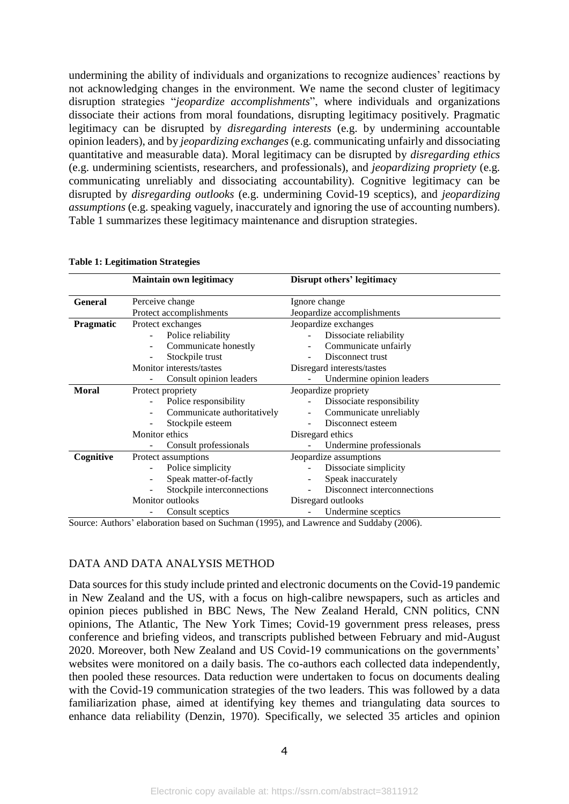undermining the ability of individuals and organizations to recognize audiences' reactions by not acknowledging changes in the environment. We name the second cluster of legitimacy disruption strategies "*jeopardize accomplishments*", where individuals and organizations dissociate their actions from moral foundations, disrupting legitimacy positively. Pragmatic legitimacy can be disrupted by *disregarding interests* (e.g. by undermining accountable opinion leaders), and by *jeopardizing exchanges* (e.g. communicating unfairly and dissociating quantitative and measurable data). Moral legitimacy can be disrupted by *disregarding ethics*  (e.g. undermining scientists, researchers, and professionals), and *jeopardizing propriety* (e.g. communicating unreliably and dissociating accountability). Cognitive legitimacy can be disrupted by *disregarding outlooks* (e.g. undermining Covid-19 sceptics), and *jeopardizing assumptions* (e.g. speaking vaguely, inaccurately and ignoring the use of accounting numbers). Table 1 summarizes these legitimacy maintenance and disruption strategies.

|                | <b>Maintain own legitimacy</b> | Disrupt others' legitimacy  |  |
|----------------|--------------------------------|-----------------------------|--|
| <b>General</b> | Perceive change                | Ignore change               |  |
|                | Protect accomplishments        | Jeopardize accomplishments  |  |
| Pragmatic      | Protect exchanges              | Jeopardize exchanges        |  |
|                | Police reliability             | Dissociate reliability      |  |
|                | Communicate honestly           | Communicate unfairly        |  |
|                | Stockpile trust                | Disconnect trust            |  |
|                | Monitor interests/tastes       | Disregard interests/tastes  |  |
|                | Consult opinion leaders        | Undermine opinion leaders   |  |
| <b>Moral</b>   | Protect propriety              | Jeopardize propriety        |  |
|                | Police responsibility          | Dissociate responsibility   |  |
|                | Communicate authoritatively    | Communicate unreliably      |  |
|                | Stockpile esteem               | Disconnect esteem           |  |
|                | Monitor ethics                 | Disregard ethics            |  |
|                | Consult professionals          | Undermine professionals     |  |
| Cognitive      | Protect assumptions            | Jeopardize assumptions      |  |
|                | Police simplicity              | Dissociate simplicity       |  |
|                | Speak matter-of-factly         | Speak inaccurately          |  |
|                | Stockpile interconnections     | Disconnect interconnections |  |
|                | <b>Monitor</b> outlooks        | Disregard outlooks          |  |
|                | Consult sceptics               | Undermine sceptics          |  |

#### **Table 1: Legitimation Strategies**

Source: Authors' elaboration based on Suchman (1995), and Lawrence and Suddaby (2006).

#### DATA AND DATA ANALYSIS METHOD

Data sources for this study include printed and electronic documents on the Covid-19 pandemic in New Zealand and the US, with a focus on high-calibre newspapers, such as articles and opinion pieces published in BBC News, The New Zealand Herald, CNN politics, CNN opinions, The Atlantic, The New York Times; Covid-19 government press releases, press conference and briefing videos, and transcripts published between February and mid-August 2020. Moreover, both New Zealand and US Covid-19 communications on the governments' websites were monitored on a daily basis. The co-authors each collected data independently, then pooled these resources. Data reduction were undertaken to focus on documents dealing with the Covid-19 communication strategies of the two leaders. This was followed by a data familiarization phase, aimed at identifying key themes and triangulating data sources to enhance data reliability (Denzin, 1970). Specifically, we selected 35 articles and opinion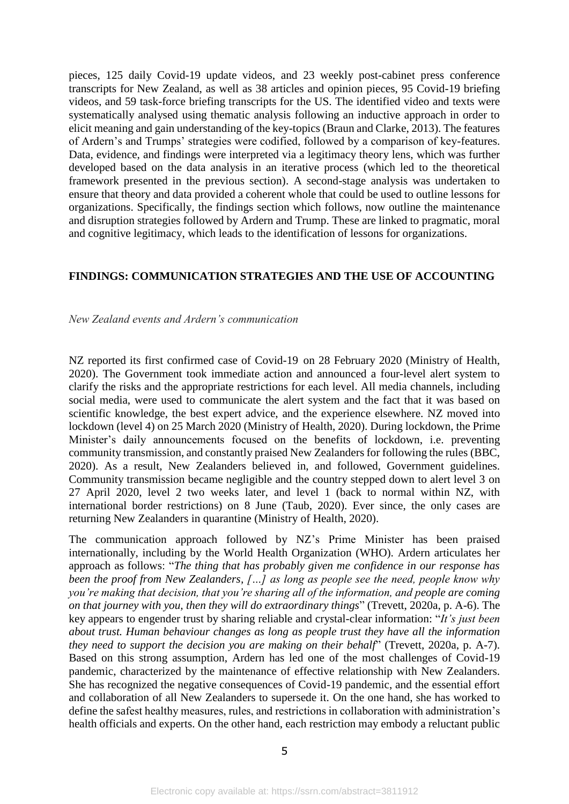pieces, 125 daily Covid-19 update videos, and 23 weekly post-cabinet press conference transcripts for New Zealand, as well as 38 articles and opinion pieces, 95 Covid-19 briefing videos, and 59 task-force briefing transcripts for the US. The identified video and texts were systematically analysed using thematic analysis following an inductive approach in order to elicit meaning and gain understanding of the key-topics (Braun and Clarke, 2013). The features of Ardern's and Trumps' strategies were codified, followed by a comparison of key-features. Data, evidence, and findings were interpreted via a legitimacy theory lens, which was further developed based on the data analysis in an iterative process (which led to the theoretical framework presented in the previous section). A second-stage analysis was undertaken to ensure that theory and data provided a coherent whole that could be used to outline lessons for organizations. Specifically, the findings section which follows, now outline the maintenance and disruption strategies followed by Ardern and Trump. These are linked to pragmatic, moral and cognitive legitimacy, which leads to the identification of lessons for organizations.

#### **FINDINGS: COMMUNICATION STRATEGIES AND THE USE OF ACCOUNTING**

#### *New Zealand events and Ardern's communication*

NZ reported its first confirmed case of Covid-19 on 28 February 2020 (Ministry of Health, 2020). The Government took immediate action and announced a four-level alert system to clarify the risks and the appropriate restrictions for each level. All media channels, including social media, were used to communicate the alert system and the fact that it was based on scientific knowledge, the best expert advice, and the experience elsewhere. NZ moved into lockdown (level 4) on 25 March 2020 (Ministry of Health, 2020). During lockdown, the Prime Minister's daily announcements focused on the benefits of lockdown, i.e. preventing community transmission, and constantly praised New Zealanders for following the rules (BBC, 2020). As a result, New Zealanders believed in, and followed, Government guidelines. Community transmission became negligible and the country stepped down to alert level 3 on 27 April 2020, level 2 two weeks later, and level 1 (back to normal within NZ, with international border restrictions) on 8 June (Taub, 2020). Ever since, the only cases are returning New Zealanders in quarantine (Ministry of Health, 2020).

The communication approach followed by NZ's Prime Minister has been praised internationally, including by the World Health Organization (WHO). Ardern articulates her approach as follows: "*The thing that has probably given me confidence in our response has been the proof from New Zealanders, […] as long as people see the need, people know why you're making that decision, that you're sharing all of the information, and people are coming on that journey with you, then they will do extraordinary things*" (Trevett, 2020a, p. A-6). The key appears to engender trust by sharing reliable and crystal-clear information: "*It's just been about trust. Human behaviour changes as long as people trust they have all the information they need to support the decision you are making on their behalf*" (Trevett, 2020a, p. A-7). Based on this strong assumption, Ardern has led one of the most challenges of Covid-19 pandemic, characterized by the maintenance of effective relationship with New Zealanders. She has recognized the negative consequences of Covid-19 pandemic, and the essential effort and collaboration of all New Zealanders to supersede it. On the one hand, she has worked to define the safest healthy measures, rules, and restrictions in collaboration with administration's health officials and experts. On the other hand, each restriction may embody a reluctant public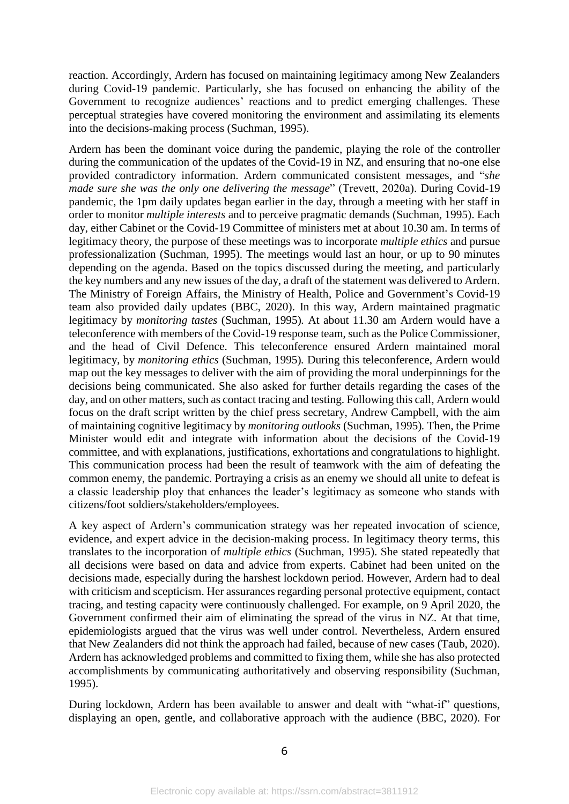reaction. Accordingly, Ardern has focused on maintaining legitimacy among New Zealanders during Covid-19 pandemic. Particularly, she has focused on enhancing the ability of the Government to recognize audiences' reactions and to predict emerging challenges. These perceptual strategies have covered monitoring the environment and assimilating its elements into the decisions-making process (Suchman, 1995).

Ardern has been the dominant voice during the pandemic, playing the role of the controller during the communication of the updates of the Covid-19 in NZ, and ensuring that no-one else provided contradictory information. Ardern communicated consistent messages, and "*she made sure she was the only one delivering the message*" (Trevett, 2020a). During Covid-19 pandemic, the 1pm daily updates began earlier in the day, through a meeting with her staff in order to monitor *multiple interests* and to perceive pragmatic demands (Suchman, 1995). Each day, either Cabinet or the Covid-19 Committee of ministers met at about 10.30 am. In terms of legitimacy theory, the purpose of these meetings was to incorporate *multiple ethics* and pursue professionalization (Suchman, 1995). The meetings would last an hour, or up to 90 minutes depending on the agenda. Based on the topics discussed during the meeting, and particularly the key numbers and any new issues of the day, a draft of the statement was delivered to Ardern. The Ministry of Foreign Affairs, the Ministry of Health, Police and Government's Covid-19 team also provided daily updates (BBC, 2020). In this way, Ardern maintained pragmatic legitimacy by *monitoring tastes* (Suchman, 1995)*.* At about 11.30 am Ardern would have a teleconference with members of the Covid-19 response team, such as the Police Commissioner, and the head of Civil Defence. This teleconference ensured Ardern maintained moral legitimacy, by *monitoring ethics* (Suchman, 1995)*.* During this teleconference, Ardern would map out the key messages to deliver with the aim of providing the moral underpinnings for the decisions being communicated. She also asked for further details regarding the cases of the day, and on other matters, such as contact tracing and testing. Following this call, Ardern would focus on the draft script written by the chief press secretary, Andrew Campbell, with the aim of maintaining cognitive legitimacy by *monitoring outlooks* (Suchman, 1995)*.* Then, the Prime Minister would edit and integrate with information about the decisions of the Covid-19 committee, and with explanations, justifications, exhortations and congratulations to highlight. This communication process had been the result of teamwork with the aim of defeating the common enemy, the pandemic. Portraying a crisis as an enemy we should all unite to defeat is a classic leadership ploy that enhances the leader's legitimacy as someone who stands with citizens/foot soldiers/stakeholders/employees.

A key aspect of Ardern's communication strategy was her repeated invocation of science, evidence, and expert advice in the decision-making process. In legitimacy theory terms, this translates to the incorporation of *multiple ethics* (Suchman, 1995). She stated repeatedly that all decisions were based on data and advice from experts. Cabinet had been united on the decisions made, especially during the harshest lockdown period. However, Ardern had to deal with criticism and scepticism. Her assurances regarding personal protective equipment, contact tracing, and testing capacity were continuously challenged. For example, on 9 April 2020, the Government confirmed their aim of eliminating the spread of the virus in NZ. At that time, epidemiologists argued that the virus was well under control. Nevertheless, Ardern ensured that New Zealanders did not think the approach had failed, because of new cases (Taub, 2020). Ardern has acknowledged problems and committed to fixing them, while she has also protected accomplishments by communicating authoritatively and observing responsibility (Suchman, 1995).

During lockdown, Ardern has been available to answer and dealt with "what-if" questions, displaying an open, gentle, and collaborative approach with the audience (BBC, 2020). For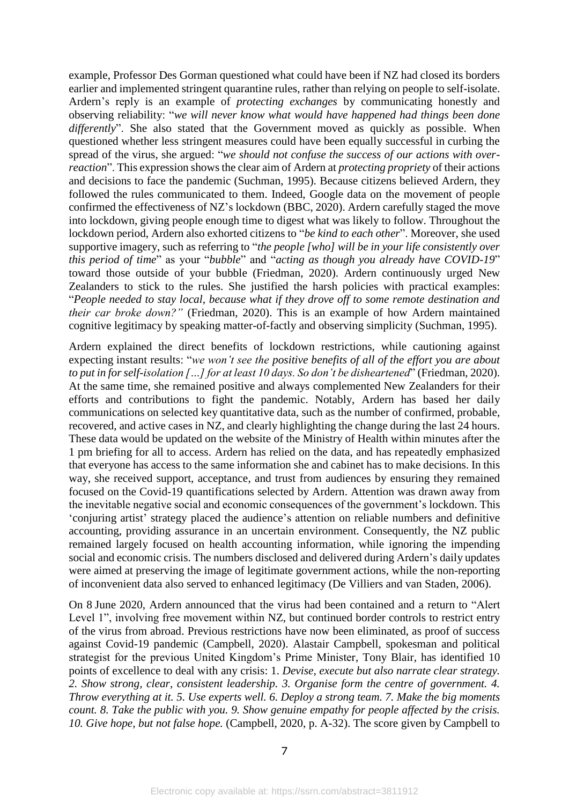example, Professor Des Gorman questioned what could have been if NZ had closed its borders earlier and implemented stringent quarantine rules, rather than relying on people to self-isolate. Ardern's reply is an example of *protecting exchanges* by communicating honestly and observing reliability: "*we will never know what would have happened had things been done*  differently". She also stated that the Government moved as quickly as possible. When questioned whether less stringent measures could have been equally successful in curbing the spread of the virus, she argued: "*we should not confuse the success of our actions with overreaction*". This expression shows the clear aim of Ardern at *protecting propriety* of their actions and decisions to face the pandemic (Suchman, 1995). Because citizens believed Ardern, they followed the rules communicated to them. Indeed, Google data on the movement of people confirmed the effectiveness of NZ's lockdown (BBC, 2020). Ardern carefully staged the move into lockdown, giving people enough time to digest what was likely to follow. Throughout the lockdown period, Ardern also exhorted citizens to "*be kind to each other*". Moreover, she used supportive imagery, such as referring to "*the people [who] will be in your life consistently over this period of time*" as your "*[bubble](https://www.newshub.co.nz/home/new-zealand/2020/04/coronavirus-the-new-bubble-and-what-it-means-for-new-zealand.html)*" and "*acting as though you already have COVID-19*" toward those outside of your bubble (Friedman, 2020). Ardern continuously urged New Zealanders to stick to the rules. She justified the harsh policies with practical examples: "*People needed to stay local, because what if they drove off to some remote destination and their car broke down?"* (Friedman, 2020). This is an example of how Ardern maintained cognitive legitimacy by speaking matter-of-factly and observing simplicity (Suchman, 1995).

Ardern explained the direct benefits of lockdown restrictions, while cautioning against expecting instant results: "*we won't see the positive benefits of all of the effort you are about to put in for self-isolation […] for at least 10 days. So don't be disheartened*" (Friedman, 2020). At the same time, she remained positive and always complemented New Zealanders for their efforts and contributions to fight the pandemic. Notably, Ardern has based her daily communications on selected key quantitative data, such as the number of confirmed, probable, recovered, and active cases in NZ, and clearly highlighting the change during the last 24 hours. These data would be updated on the website of the Ministry of Health within minutes after the 1 pm briefing for all to access. Ardern has relied on the data, and has repeatedly emphasized that everyone has access to the same information she and cabinet has to make decisions. In this way, she received support, acceptance, and trust from audiences by ensuring they remained focused on the Covid-19 quantifications selected by Ardern. Attention was drawn away from the inevitable negative social and economic consequences of the government's lockdown. This 'conjuring artist' strategy placed the audience's attention on reliable numbers and definitive accounting, providing assurance in an uncertain environment. Consequently, the NZ public remained largely focused on health accounting information, while ignoring the impending social and economic crisis. The numbers disclosed and delivered during Ardern's daily updates were aimed at preserving the image of legitimate government actions, while the non-reporting of inconvenient data also served to enhanced legitimacy (De Villiers and van Staden, 2006).

On 8 June 2020, Ardern announced that the virus had been contained and a return to "Alert Level 1", involving free movement within NZ, but continued border controls to restrict entry of the virus from abroad. Previous restrictions have now been eliminated, as proof of success against Covid-19 pandemic (Campbell, 2020). Alastair Campbell, spokesman and political strategist for the previous United Kingdom's Prime Minister, Tony Blair, has identified 10 points of excellence to deal with any crisis: 1. *Devise, execute but also narrate clear strategy. 2. Show strong, clear, consistent leadership. 3. Organise form the centre of government. 4. Throw everything at it. 5. Use experts well. 6. Deploy a strong team. 7. Make the big moments count. 8. Take the public with you. 9. Show genuine empathy for people affected by the crisis. 10. Give hope, but not false hope.* (Campbell, 2020, p. A-32). The score given by Campbell to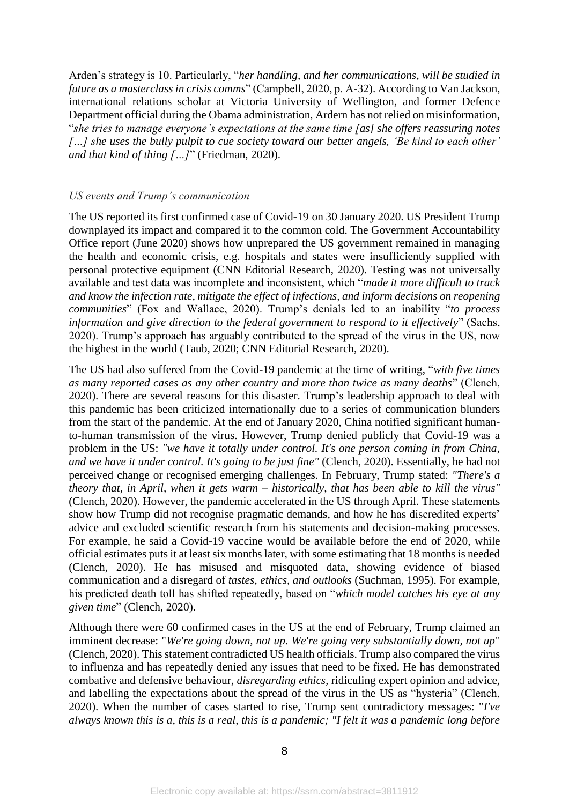Arden's strategy is 10. Particularly, "*her handling, and her communications, will be studied in future as a masterclass in crisis comms*" (Campbell, 2020, p. A-32). According to Van Jackson, international relations scholar at Victoria University of Wellington, and former Defence Department official during the Obama administration, Ardern has not relied on misinformation, "*she tries to manage everyone's expectations at the same time [as] she offers reassuring notes […] she uses the bully pulpit to cue society toward our better angels, 'Be kind to each other' and that kind of thing […]*" (Friedman, 2020).

#### *US events and Trump's communication*

The US reported its first confirmed case of Covid-19 on 30 January 2020. US President Trump downplayed its impact and compared it to the common cold. The Government Accountability Office report (June 2020) shows how unprepared the US government remained in managing the health and economic crisis, e.g. hospitals and states were insufficiently supplied with personal protective equipment (CNN Editorial Research, 2020). Testing was not universally available and test data was incomplete and inconsistent, which "*made it more difficult to track and know the infection rate, mitigate the effect of infections, and inform decisions on reopening communities*" (Fox and Wallace, 2020). Trump's denials led to an inability "*to process information and give direction to the federal government to respond to it effectively*" (Sachs, 2020). Trump's approach has arguably contributed to the spread of the virus in the US, now the highest in the world (Taub, 2020; CNN Editorial Research, 2020).

The US had also suffered from the Covid-19 pandemic at the time of writing, "*with five times as many reported cases as any other country and more than twice as many deaths*" (Clench, 2020). There are several reasons for this disaster. Trump's leadership approach to deal with this pandemic has been criticized internationally due to a series of communication blunders from the start of the pandemic. At the end of January 2020, China notified significant humanto-human transmission of the virus. However, Trump denied publicly that Covid-19 was a problem in the US: *"we have it totally under control. It's one person coming in from China, and we have it under control. It's going to be just fine"* (Clench, 2020). Essentially, he had not perceived change or recognised emerging challenges. In February, Trump stated: *"There's a theory that, in April, when it gets warm – historically, that has been able to kill the virus"* (Clench, 2020). However, the pandemic accelerated in the US through April. These statements show how Trump did not recognise pragmatic demands, and how he has discredited experts' advice and excluded scientific research from his statements and decision-making processes. For example, he said a Covid-19 vaccine would be available before the end of 2020, while official estimates puts it at least six months later, with some estimating that 18 months is needed (Clench, 2020). He has misused and misquoted data, showing evidence of biased communication and a disregard of *tastes, ethics, and outlooks* (Suchman, 1995). For example, his predicted death toll has shifted repeatedly, based on "*which model catches his eye at any given time*" (Clench, 2020).

Although there were 60 confirmed cases in the US at the end of February, Trump claimed an imminent decrease: "*We're going down, not up. We're going very substantially down, not up*" (Clench, 2020). This statement contradicted US health officials. Trump also compared the virus to influenza and has repeatedly denied any issues that need to be fixed. He has demonstrated combative and defensive behaviour, *disregarding ethics*, ridiculing expert opinion and advice, and labelling the expectations about the spread of the virus in the US as "hysteria" (Clench, 2020). When the number of cases started to rise, Trump sent contradictory messages: "*I've always known this is a, this is a real, this is a pandemic; "I felt it was a pandemic long before*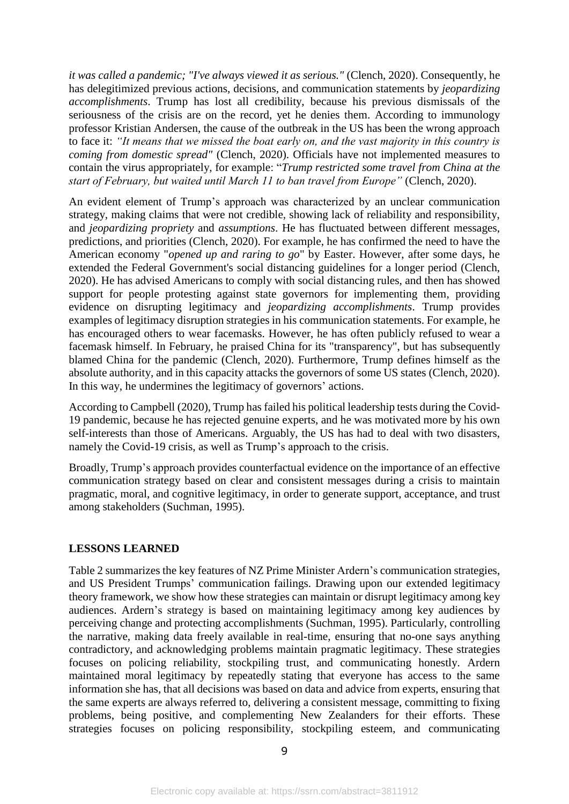*it was called a pandemic; "I've always viewed it as serious."* (Clench, 2020). Consequently, he has delegitimized previous actions, decisions, and communication statements by *jeopardizing accomplishments*. Trump has lost all credibility, because his previous dismissals of the seriousness of the crisis are on the record, yet he denies them. According to immunology professor Kristian Andersen, the cause of the outbreak in the US has been the wrong approach to face it: *"It means that we missed the boat early on, and the vast majority in this country is coming from domestic spread"* (Clench, 2020). Officials have not implemented measures to contain the virus appropriately, for example: "*Trump restricted some travel from China at the start of February, but waited until March 11 to ban travel from Europe"* (Clench, 2020).

An evident element of Trump's approach was characterized by an unclear communication strategy, making claims that were not credible, showing lack of reliability and responsibility, and *jeopardizing propriety* and *assumptions*. He has fluctuated between different messages, predictions, and priorities (Clench, 2020). For example, he has confirmed the need to have the American economy "*opened up and raring to go*" by Easter. However, after some days, he extended the Federal Government's social distancing guidelines for a longer period (Clench, 2020). He has advised Americans to comply with social distancing rules, and then has showed support for people protesting against state governors for implementing them, providing evidence on disrupting legitimacy and *jeopardizing accomplishments*. Trump provides examples of legitimacy disruption strategies in his communication statements. For example, he has encouraged others to wear facemasks. However, he has often publicly refused to wear a facemask himself. In February, he praised China for its "transparency", but has subsequently blamed China for the pandemic (Clench, 2020). Furthermore, Trump defines himself as the absolute authority, and in this capacity attacks the governors of some US states (Clench, 2020). In this way, he undermines the legitimacy of governors' actions.

According to Campbell (2020), Trump has failed his political leadership tests during the Covid-19 pandemic, because he has rejected genuine experts, and he was motivated more by his own self-interests than those of Americans. Arguably, the US has had to deal with two disasters, namely the Covid-19 crisis, as well as Trump's approach to the crisis.

Broadly, Trump's approach provides counterfactual evidence on the importance of an effective communication strategy based on clear and consistent messages during a crisis to maintain pragmatic, moral, and cognitive legitimacy, in order to generate support, acceptance, and trust among stakeholders (Suchman, 1995).

#### **LESSONS LEARNED**

Table 2 summarizes the key features of NZ Prime Minister Ardern's communication strategies, and US President Trumps' communication failings. Drawing upon our extended legitimacy theory framework, we show how these strategies can maintain or disrupt legitimacy among key audiences. Ardern's strategy is based on maintaining legitimacy among key audiences by perceiving change and protecting accomplishments (Suchman, 1995). Particularly, controlling the narrative, making data freely available in real-time, ensuring that no-one says anything contradictory, and acknowledging problems maintain pragmatic legitimacy. These strategies focuses on policing reliability, stockpiling trust, and communicating honestly. Ardern maintained moral legitimacy by repeatedly stating that everyone has access to the same information she has, that all decisions was based on data and advice from experts, ensuring that the same experts are always referred to, delivering a consistent message, committing to fixing problems, being positive, and complementing New Zealanders for their efforts. These strategies focuses on policing responsibility, stockpiling esteem, and communicating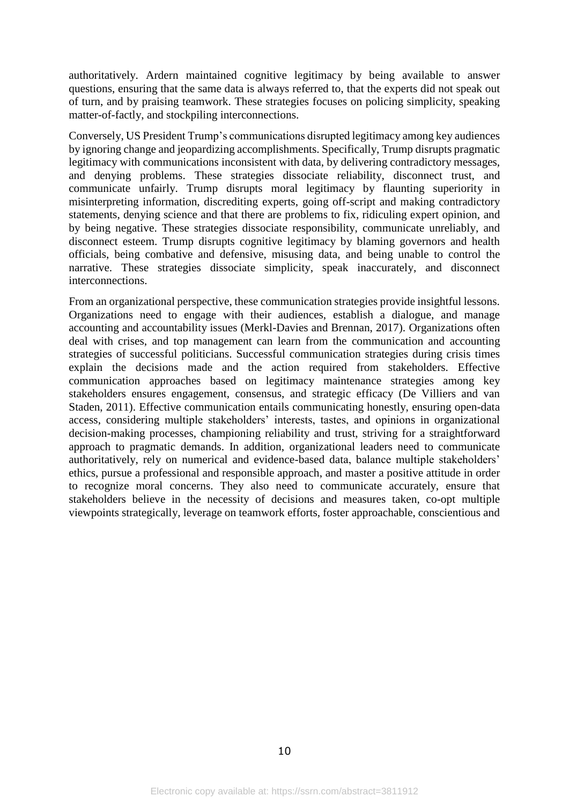authoritatively. Ardern maintained cognitive legitimacy by being available to answer questions, ensuring that the same data is always referred to, that the experts did not speak out of turn, and by praising teamwork. These strategies focuses on policing simplicity, speaking matter-of-factly, and stockpiling interconnections.

Conversely, US President Trump's communications disrupted legitimacy among key audiences by ignoring change and jeopardizing accomplishments. Specifically, Trump disrupts pragmatic legitimacy with communications inconsistent with data, by delivering contradictory messages, and denying problems. These strategies dissociate reliability, disconnect trust, and communicate unfairly. Trump disrupts moral legitimacy by flaunting superiority in misinterpreting information, discrediting experts, going off-script and making contradictory statements, denying science and that there are problems to fix, ridiculing expert opinion, and by being negative. These strategies dissociate responsibility, communicate unreliably, and disconnect esteem. Trump disrupts cognitive legitimacy by blaming governors and health officials, being combative and defensive, misusing data, and being unable to control the narrative. These strategies dissociate simplicity, speak inaccurately, and disconnect interconnections.

From an organizational perspective, these communication strategies provide insightful lessons. Organizations need to engage with their audiences, establish a dialogue, and manage accounting and accountability issues (Merkl-Davies and Brennan, 2017). Organizations often deal with crises, and top management can learn from the communication and accounting strategies of successful politicians. Successful communication strategies during crisis times explain the decisions made and the action required from stakeholders. Effective communication approaches based on legitimacy maintenance strategies among key stakeholders ensures engagement, consensus, and strategic efficacy (De Villiers and van Staden, 2011). Effective communication entails communicating honestly, ensuring open-data access, considering multiple stakeholders' interests, tastes, and opinions in organizational decision-making processes, championing reliability and trust, striving for a straightforward approach to pragmatic demands. In addition, organizational leaders need to communicate authoritatively, rely on numerical and evidence-based data, balance multiple stakeholders' ethics, pursue a professional and responsible approach, and master a positive attitude in order to recognize moral concerns. They also need to communicate accurately, ensure that stakeholders believe in the necessity of decisions and measures taken, co-opt multiple viewpoints strategically, leverage on teamwork efforts, foster approachable, conscientious and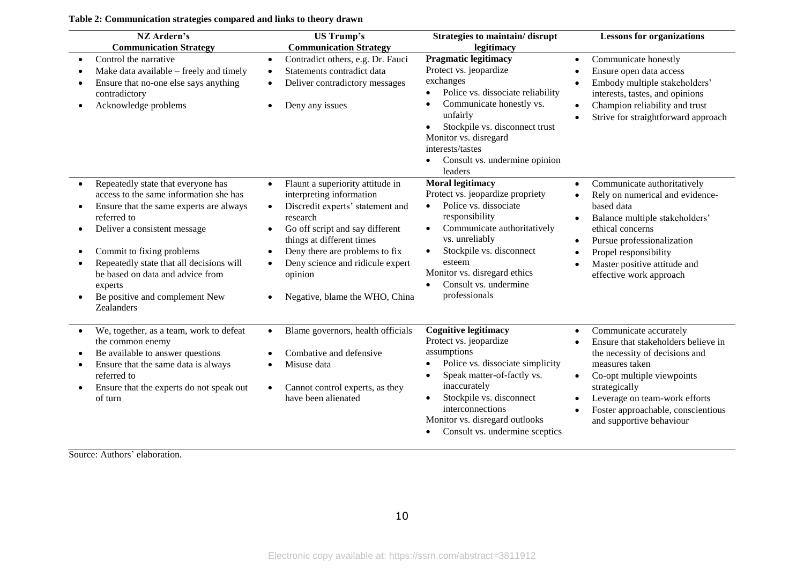#### **Table 2: Communication strategies compared and links to theory drawn**

| NZ Ardern's<br><b>Communication Strategy</b>                                                                                                                                                                                                                                                                                                                | <b>US Trump's</b><br><b>Communication Strategy</b>                                                                                                                                                                                                                                                                                                                            | Strategies to maintain/disrupt<br>legitimacy                                                                                                                                                                                                                                                                                | <b>Lessons for organizations</b>                                                                                                                                                                                                                                                              |  |
|-------------------------------------------------------------------------------------------------------------------------------------------------------------------------------------------------------------------------------------------------------------------------------------------------------------------------------------------------------------|-------------------------------------------------------------------------------------------------------------------------------------------------------------------------------------------------------------------------------------------------------------------------------------------------------------------------------------------------------------------------------|-----------------------------------------------------------------------------------------------------------------------------------------------------------------------------------------------------------------------------------------------------------------------------------------------------------------------------|-----------------------------------------------------------------------------------------------------------------------------------------------------------------------------------------------------------------------------------------------------------------------------------------------|--|
| Control the narrative<br>Make data available - freely and timely<br>Ensure that no-one else says anything<br>contradictory<br>Acknowledge problems                                                                                                                                                                                                          | Contradict others, e.g. Dr. Fauci<br>$\bullet$<br>Statements contradict data<br>$\bullet$<br>Deliver contradictory messages<br>$\bullet$<br>Deny any issues<br>$\bullet$                                                                                                                                                                                                      | <b>Pragmatic legitimacy</b><br>Protect vs. jeopardize<br>exchanges<br>Police vs. dissociate reliability<br>$\bullet$<br>Communicate honestly vs.<br>$\bullet$<br>unfairly<br>Stockpile vs. disconnect trust<br>Monitor vs. disregard<br>interests/tastes<br>Consult vs. undermine opinion<br>leaders                        | Communicate honestly<br>$\bullet$<br>Ensure open data access<br>Embody multiple stakeholders'<br>interests, tastes, and opinions<br>Champion reliability and trust<br>Strive for straightforward approach                                                                                     |  |
| Repeatedly state that everyone has<br>$\bullet$<br>access to the same information she has<br>Ensure that the same experts are always<br>referred to<br>Deliver a consistent message<br>Commit to fixing problems<br>Repeatedly state that all decisions will<br>be based on data and advice from<br>experts<br>Be positive and complement New<br>Zealanders | Flaunt a superiority attitude in<br>$\bullet$<br>interpreting information<br>Discredit experts' statement and<br>$\bullet$<br>research<br>Go off script and say different<br>$\bullet$<br>things at different times<br>Deny there are problems to fix<br>$\bullet$<br>Deny science and ridicule expert<br>$\bullet$<br>opinion<br>Negative, blame the WHO, China<br>$\bullet$ | <b>Moral legitimacy</b><br>Protect vs. jeopardize propriety<br>Police vs. dissociate<br>$\bullet$<br>responsibility<br>Communicate authoritatively<br>$\bullet$<br>vs. unreliably<br>Stockpile vs. disconnect<br>$\bullet$<br>esteem<br>Monitor vs. disregard ethics<br>Consult vs. undermine<br>$\bullet$<br>professionals | Communicate authoritatively<br>$\bullet$<br>Rely on numerical and evidence-<br>based data<br>Balance multiple stakeholders'<br>$\bullet$<br>ethical concerns<br>Pursue professionalization<br>Propel responsibility<br>Master positive attitude and<br>effective work approach                |  |
| We, together, as a team, work to defeat<br>the common enemy<br>Be available to answer questions<br>Ensure that the same data is always<br>referred to<br>Ensure that the experts do not speak out<br>of turn                                                                                                                                                | Blame governors, health officials<br>$\bullet$<br>Combative and defensive<br>Misuse data<br>$\bullet$<br>Cannot control experts, as they<br>$\bullet$<br>have been alienated                                                                                                                                                                                                  | <b>Cognitive legitimacy</b><br>Protect vs. jeopardize<br>assumptions<br>Police vs. dissociate simplicity<br>Speak matter-of-factly vs.<br>inaccurately<br>Stockpile vs. disconnect<br>$\bullet$<br>interconnections<br>Monitor vs. disregard outlooks<br>Consult vs. undermine sceptics<br>$\bullet$                        | Communicate accurately<br>Ensure that stakeholders believe in<br>the necessity of decisions and<br>measures taken<br>Co-opt multiple viewpoints<br>$\bullet$<br>strategically<br>Leverage on team-work efforts<br>Foster approachable, conscientious<br>$\bullet$<br>and supportive behaviour |  |

Source: Authors' elaboration.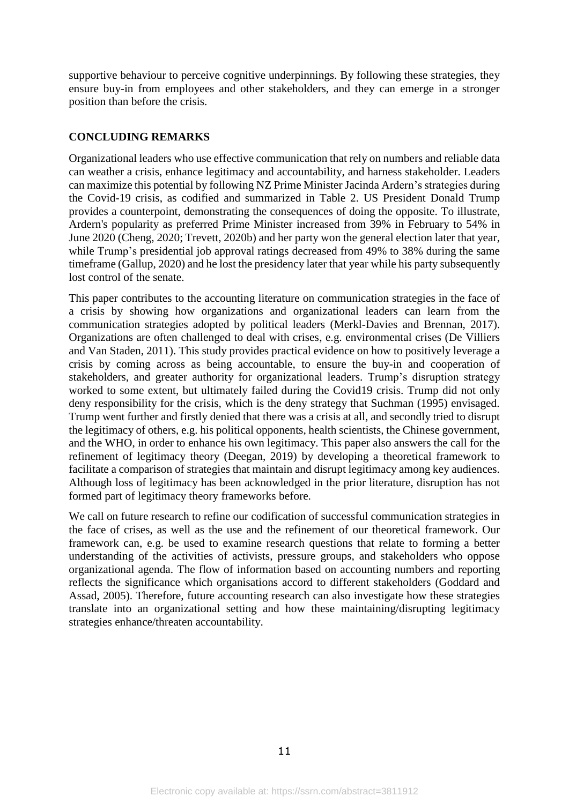supportive behaviour to perceive cognitive underpinnings. By following these strategies, they ensure buy-in from employees and other stakeholders, and they can emerge in a stronger position than before the crisis.

#### **CONCLUDING REMARKS**

Organizational leaders who use effective communication that rely on numbers and reliable data can weather a crisis, enhance legitimacy and accountability, and harness stakeholder. Leaders can maximize this potential by following NZ Prime Minister Jacinda Ardern's strategies during the Covid-19 crisis, as codified and summarized in Table 2. US President Donald Trump provides a counterpoint, demonstrating the consequences of doing the opposite. To illustrate, Ardern's popularity as preferred Prime Minister increased from 39% in February to 54% in June 2020 (Cheng, 2020; Trevett, 2020b) and her party won the general election later that year, while Trump's presidential job approval ratings decreased from 49% to 38% during the same timeframe (Gallup, 2020) and he lost the presidency later that year while his party subsequently lost control of the senate.

This paper contributes to the accounting literature on communication strategies in the face of a crisis by showing how organizations and organizational leaders can learn from the communication strategies adopted by political leaders (Merkl-Davies and Brennan, 2017). Organizations are often challenged to deal with crises, e.g. environmental crises (De Villiers and Van Staden, 2011). This study provides practical evidence on how to positively leverage a crisis by coming across as being accountable, to ensure the buy-in and cooperation of stakeholders, and greater authority for organizational leaders. Trump's disruption strategy worked to some extent, but ultimately failed during the Covid19 crisis. Trump did not only deny responsibility for the crisis, which is the deny strategy that Suchman (1995) envisaged. Trump went further and firstly denied that there was a crisis at all, and secondly tried to disrupt the legitimacy of others, e.g. his political opponents, health scientists, the Chinese government, and the WHO, in order to enhance his own legitimacy. This paper also answers the call for the refinement of legitimacy theory (Deegan, 2019) by developing a theoretical framework to facilitate a comparison of strategies that maintain and disrupt legitimacy among key audiences. Although loss of legitimacy has been acknowledged in the prior literature, disruption has not formed part of legitimacy theory frameworks before.

We call on future research to refine our codification of successful communication strategies in the face of crises, as well as the use and the refinement of our theoretical framework. Our framework can, e.g. be used to examine research questions that relate to forming a better understanding of the activities of activists, pressure groups, and stakeholders who oppose organizational agenda. The flow of information based on accounting numbers and reporting reflects the significance which organisations accord to different stakeholders (Goddard and Assad, 2005). Therefore, future accounting research can also investigate how these strategies translate into an organizational setting and how these maintaining/disrupting legitimacy strategies enhance/threaten accountability.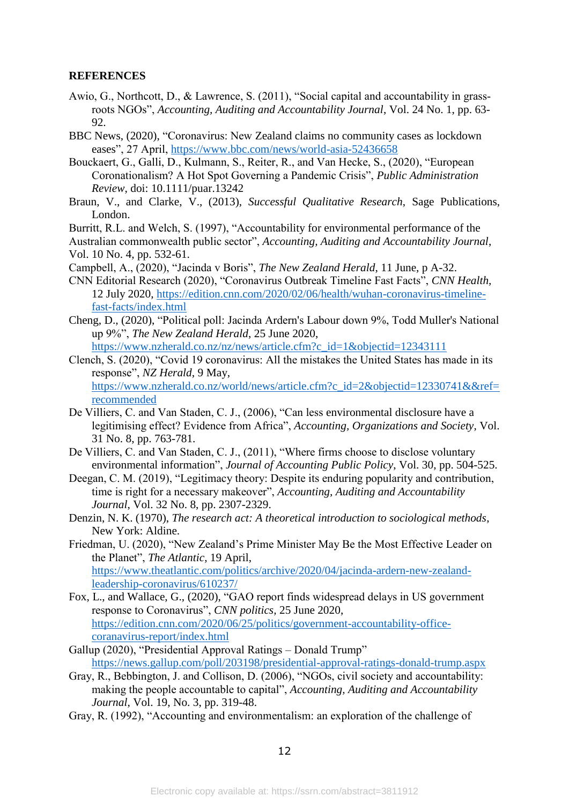#### **REFERENCES**

- Awio, G., Northcott, D., & Lawrence, S. (2011), "Social capital and accountability in grassroots NGOs", *Accounting, Auditing and Accountability Journal*, Vol. 24 No. 1, pp. 63- 92.
- BBC News, (2020), "Coronavirus: New Zealand claims no community cases as lockdown eases", 27 April,<https://www.bbc.com/news/world-asia-52436658>
- Bouckaert, G., Galli, D., Kulmann, S., Reiter, R., and Van Hecke, S., (2020), "European Coronationalism? A Hot Spot Governing a Pandemic Crisis", *Public Administration Review*, doi: 10.1111/puar.13242
- Braun, V., and Clarke, V., (2013), *Successful Qualitative Research*, Sage Publications, London.
- Burritt, R.L. and Welch, S. (1997), "Accountability for environmental performance of the
- Australian commonwealth public sector", *Accounting, Auditing and Accountability Journal*, Vol. 10 No. 4, pp. 532-61.
- Campbell, A., (2020), "Jacinda v Boris", *The New Zealand Herald*, 11 June, p A-32.
- CNN Editorial Research (2020), "Coronavirus Outbreak Timeline Fast Facts", *CNN Health,*  12 July 2020, [https://edition.cnn.com/2020/02/06/health/wuhan-coronavirus-timeline](https://edition.cnn.com/2020/02/06/health/wuhan-coronavirus-timeline-fast-facts/index.html)[fast-facts/index.html](https://edition.cnn.com/2020/02/06/health/wuhan-coronavirus-timeline-fast-facts/index.html)
- Cheng, D., (2020), "Political poll: Jacinda Ardern's Labour down 9%, Todd Muller's National up 9%", *The New Zealand Herald*, 25 June 2020, [https://www.nzherald.co.nz/nz/news/article.cfm?c\\_id=1&objectid=12343111](https://www.nzherald.co.nz/nz/news/article.cfm?c_id=1&objectid=12343111)
- Clench, S. (2020), "Covid 19 coronavirus: All the mistakes the United States has made in its response", *NZ Herald*, 9 May, [https://www.nzherald.co.nz/world/news/article.cfm?c\\_id=2&objectid=12330741&&ref=](https://www.nzherald.co.nz/world/news/article.cfm?c_id=2&objectid=12330741&&ref=recommended) [recommended](https://www.nzherald.co.nz/world/news/article.cfm?c_id=2&objectid=12330741&&ref=recommended)
- De Villiers, C. and Van Staden, C. J., (2006), "Can less environmental disclosure have a legitimising effect? Evidence from Africa", *Accounting, Organizations and Society*, Vol. 31 No. 8, pp. 763-781.
- De Villiers, C. and Van Staden, C. J., (2011), "Where firms choose to disclose voluntary environmental information", *Journal of Accounting Public Policy*, Vol. 30, pp. 504-525.
- Deegan, C. M. (2019), "Legitimacy theory: Despite its enduring popularity and contribution, time is right for a necessary makeover", *Accounting, Auditing and Accountability Journal*, Vol. 32 No. 8, pp. 2307-2329.
- Denzin, N. K. (1970), *The research act: A theoretical introduction to sociological methods*, New York: Aldine.
- Friedman, U. (2020), "New Zealand's Prime Minister May Be the Most Effective Leader on the Planet", *The Atlantic*, 19 April, [https://www.theatlantic.com/politics/archive/2020/04/jacinda-ardern-new-zealand](https://www.theatlantic.com/politics/archive/2020/04/jacinda-ardern-new-zealand-leadership-coronavirus/610237/)[leadership-coronavirus/610237/](https://www.theatlantic.com/politics/archive/2020/04/jacinda-ardern-new-zealand-leadership-coronavirus/610237/)
- Fox, L., and Wallace, G., (2020), "GAO report finds widespread delays in US government response to Coronavirus", *CNN politics,* 25 June 2020, [https://edition.cnn.com/2020/06/25/politics/government-accountability-office](https://edition.cnn.com/2020/06/25/politics/government-accountability-office-coranavirus-report/index.html)[coranavirus-report/index.html](https://edition.cnn.com/2020/06/25/politics/government-accountability-office-coranavirus-report/index.html)
- Gallup (2020), "Presidential Approval Ratings Donald Trump" <https://news.gallup.com/poll/203198/presidential-approval-ratings-donald-trump.aspx>
- Gray, R., Bebbington, J. and Collison, D. (2006), "NGOs, civil society and accountability: making the people accountable to capital", *Accounting, Auditing and Accountability Journal*, Vol. 19, No. 3, pp. 319-48.
- Gray, R. (1992), "Accounting and environmentalism: an exploration of the challenge of